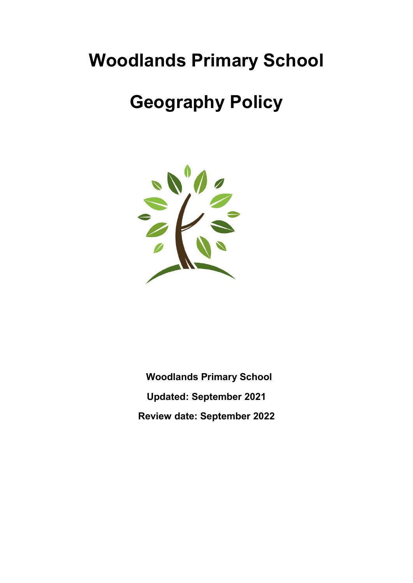# Woodlands Primary School

# Geography Policy



 Woodlands Primary School Updated: September 2021 Review date: September 2022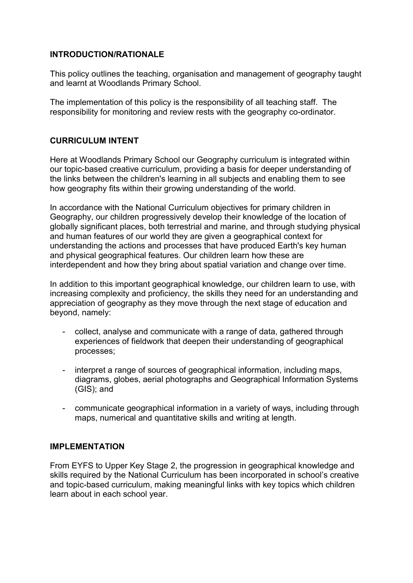#### INTRODUCTION/RATIONALE

This policy outlines the teaching, organisation and management of geography taught and learnt at Woodlands Primary School.

The implementation of this policy is the responsibility of all teaching staff. The responsibility for monitoring and review rests with the geography co-ordinator.

#### CURRICULUM INTENT

Here at Woodlands Primary School our Geography curriculum is integrated within our topic-based creative curriculum, providing a basis for deeper understanding of the links between the children's learning in all subjects and enabling them to see how geography fits within their growing understanding of the world.

In accordance with the National Curriculum objectives for primary children in Geography, our children progressively develop their knowledge of the location of globally significant places, both terrestrial and marine, and through studying physical and human features of our world they are given a geographical context for understanding the actions and processes that have produced Earth's key human and physical geographical features. Our children learn how these are interdependent and how they bring about spatial variation and change over time.

In addition to this important geographical knowledge, our children learn to use, with increasing complexity and proficiency, the skills they need for an understanding and appreciation of geography as they move through the next stage of education and beyond, namely:

- collect, analyse and communicate with a range of data, gathered through experiences of fieldwork that deepen their understanding of geographical processes;
- interpret a range of sources of geographical information, including maps, diagrams, globes, aerial photographs and Geographical Information Systems (GIS); and
- communicate geographical information in a variety of ways, including through maps, numerical and quantitative skills and writing at length.

#### IMPI FMFNTATION

From EYFS to Upper Key Stage 2, the progression in geographical knowledge and skills required by the National Curriculum has been incorporated in school's creative and topic-based curriculum, making meaningful links with key topics which children learn about in each school year.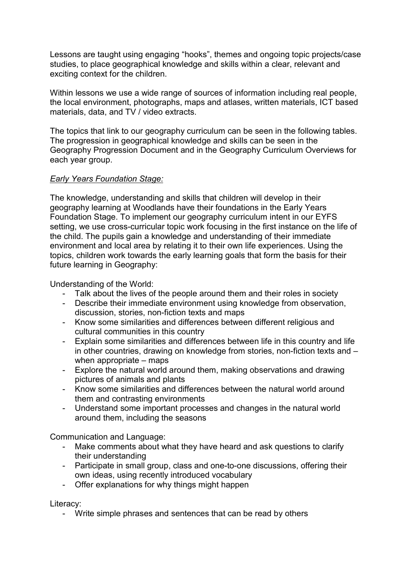Lessons are taught using engaging "hooks", themes and ongoing topic projects/case studies, to place geographical knowledge and skills within a clear, relevant and exciting context for the children.

Within lessons we use a wide range of sources of information including real people, the local environment, photographs, maps and atlases, written materials, ICT based materials, data, and TV / video extracts.

The topics that link to our geography curriculum can be seen in the following tables. The progression in geographical knowledge and skills can be seen in the Geography Progression Document and in the Geography Curriculum Overviews for each year group.

#### Early Years Foundation Stage:

The knowledge, understanding and skills that children will develop in their geography learning at Woodlands have their foundations in the Early Years Foundation Stage. To implement our geography curriculum intent in our EYFS setting, we use cross-curricular topic work focusing in the first instance on the life of the child. The pupils gain a knowledge and understanding of their immediate environment and local area by relating it to their own life experiences. Using the topics, children work towards the early learning goals that form the basis for their future learning in Geography:

Understanding of the World:

- Talk about the lives of the people around them and their roles in society
- Describe their immediate environment using knowledge from observation, discussion, stories, non-fiction texts and maps
- Know some similarities and differences between different religious and cultural communities in this country
- Explain some similarities and differences between life in this country and life in other countries, drawing on knowledge from stories, non-fiction texts and – when appropriate – maps
- Explore the natural world around them, making observations and drawing pictures of animals and plants
- Know some similarities and differences between the natural world around them and contrasting environments
- Understand some important processes and changes in the natural world around them, including the seasons

Communication and Language:

- Make comments about what they have heard and ask questions to clarify their understanding
- Participate in small group, class and one-to-one discussions, offering their own ideas, using recently introduced vocabulary
- Offer explanations for why things might happen

Literacy:

- Write simple phrases and sentences that can be read by others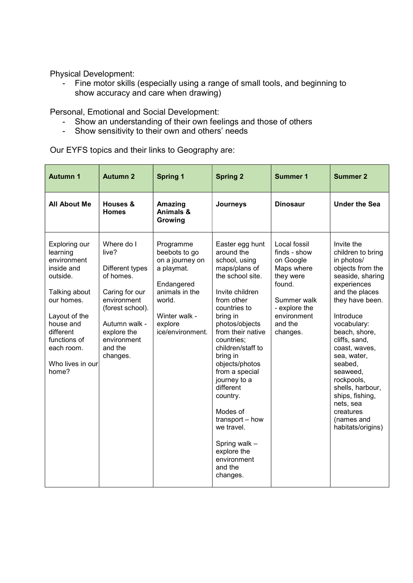Physical Development:

- Fine motor skills (especially using a range of small tools, and beginning to show accuracy and care when drawing)

Personal, Emotional and Social Development:

- Show an understanding of their own feelings and those of others
- Show sensitivity to their own and others' needs

Our EYFS topics and their links to Geography are:

| <b>Autumn 1</b>                                                                                                                                                                                         | <b>Autumn 2</b>                                                                                                                                                                | <b>Spring 1</b>                                                                                                                                       | <b>Spring 2</b>                                                                                                                                                                                                                                                                                                                                                                                                                        | <b>Summer 1</b>                                                                                                                                      | <b>Summer 2</b>                                                                                                                                                                                                                                                                                                                                                                  |
|---------------------------------------------------------------------------------------------------------------------------------------------------------------------------------------------------------|--------------------------------------------------------------------------------------------------------------------------------------------------------------------------------|-------------------------------------------------------------------------------------------------------------------------------------------------------|----------------------------------------------------------------------------------------------------------------------------------------------------------------------------------------------------------------------------------------------------------------------------------------------------------------------------------------------------------------------------------------------------------------------------------------|------------------------------------------------------------------------------------------------------------------------------------------------------|----------------------------------------------------------------------------------------------------------------------------------------------------------------------------------------------------------------------------------------------------------------------------------------------------------------------------------------------------------------------------------|
| <b>All About Me</b>                                                                                                                                                                                     | Houses &<br><b>Homes</b>                                                                                                                                                       | Amazing<br>Animals &<br>Growing                                                                                                                       | Journeys                                                                                                                                                                                                                                                                                                                                                                                                                               | <b>Dinosaur</b>                                                                                                                                      | <b>Under the Sea</b>                                                                                                                                                                                                                                                                                                                                                             |
| Exploring our<br>learning<br>environment<br>inside and<br>outside.<br>Talking about<br>our homes.<br>Layout of the<br>house and<br>different<br>functions of<br>each room.<br>Who lives in our<br>home? | Where do I<br>live?<br>Different types<br>of homes.<br>Caring for our<br>environment<br>(forest school).<br>Autumn walk -<br>explore the<br>environment<br>and the<br>changes. | Programme<br>beebots to go<br>on a journey on<br>a playmat.<br>Endangered<br>animals in the<br>world.<br>Winter walk -<br>explore<br>ice/environment. | Easter egg hunt<br>around the<br>school, using<br>maps/plans of<br>the school site.<br>Invite children<br>from other<br>countries to<br>bring in<br>photos/objects<br>from their native<br>countries;<br>children/staff to<br>bring in<br>objects/photos<br>from a special<br>journey to a<br>different<br>country.<br>Modes of<br>transport - how<br>we travel.<br>Spring walk -<br>explore the<br>environment<br>and the<br>changes. | Local fossil<br>finds - show<br>on Google<br>Maps where<br>they were<br>found.<br>Summer walk<br>- explore the<br>environment<br>and the<br>changes. | Invite the<br>children to bring<br>in photos/<br>objects from the<br>seaside, sharing<br>experiences<br>and the places<br>they have been.<br>Introduce<br>vocabulary:<br>beach, shore,<br>cliffs, sand,<br>coast, waves,<br>sea, water,<br>seabed,<br>seaweed.<br>rockpools,<br>shells, harbour,<br>ships, fishing,<br>nets, sea<br>creatures<br>(names and<br>habitats/origins) |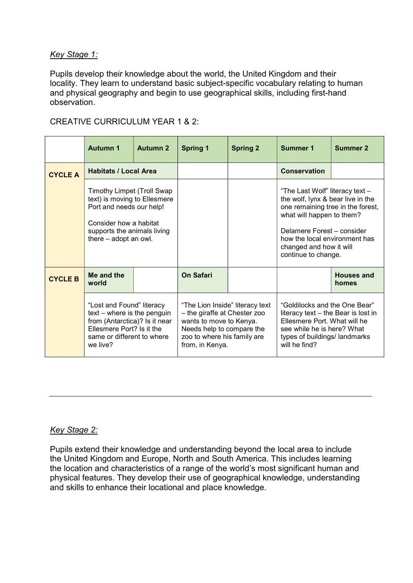#### Key Stage 1:

Pupils develop their knowledge about the world, the United Kingdom and their locality. They learn to understand basic subject-specific vocabulary relating to human and physical geography and begin to use geographical skills, including first-hand observation.

|                | <b>Autumn 1</b>                                                                                                                                                          | <b>Autumn 2</b> | <b>Spring 1</b>                                                                                                                                                           | <b>Spring 2</b> | Summer 1                                                                                                                                                                                                                                                | <b>Summer 2</b>            |
|----------------|--------------------------------------------------------------------------------------------------------------------------------------------------------------------------|-----------------|---------------------------------------------------------------------------------------------------------------------------------------------------------------------------|-----------------|---------------------------------------------------------------------------------------------------------------------------------------------------------------------------------------------------------------------------------------------------------|----------------------------|
| <b>CYCLE A</b> | <b>Habitats / Local Area</b>                                                                                                                                             |                 |                                                                                                                                                                           |                 | <b>Conservation</b>                                                                                                                                                                                                                                     |                            |
|                | Timothy Limpet (Troll Swap<br>text) is moving to Ellesmere<br>Port and needs our help!<br>Consider how a habitat<br>supports the animals living<br>there - adopt an owl. |                 |                                                                                                                                                                           |                 | "The Last Wolf" literacy text -<br>the wolf, lynx & bear live in the<br>one remaining tree in the forest,<br>what will happen to them?<br>Delamere Forest - consider<br>how the local environment has<br>changed and how it will<br>continue to change. |                            |
| <b>CYCLE B</b> | Me and the<br>world                                                                                                                                                      |                 | On Safari                                                                                                                                                                 |                 |                                                                                                                                                                                                                                                         | <b>Houses and</b><br>homes |
|                | "Lost and Found" literacy<br>text – where is the penguin<br>from (Antarctica)? Is it near<br>Ellesmere Port? Is it the<br>same or different to where<br>we live?         |                 | "The Lion Inside" literacy text<br>- the giraffe at Chester zoo<br>wants to move to Kenya.<br>Needs help to compare the<br>zoo to where his family are<br>from, in Kenya. |                 | "Goldilocks and the One Bear"<br>literacy text - the Bear is lost in<br>Ellesmere Port. What will he<br>see while he is here? What<br>types of buildings/ landmarks<br>will he find?                                                                    |                            |

#### CREATIVE CURRICULUM YEAR 1 & 2:

#### Key Stage 2:

Pupils extend their knowledge and understanding beyond the local area to include the United Kingdom and Europe, North and South America. This includes learning the location and characteristics of a range of the world's most significant human and physical features. They develop their use of geographical knowledge, understanding and skills to enhance their locational and place knowledge.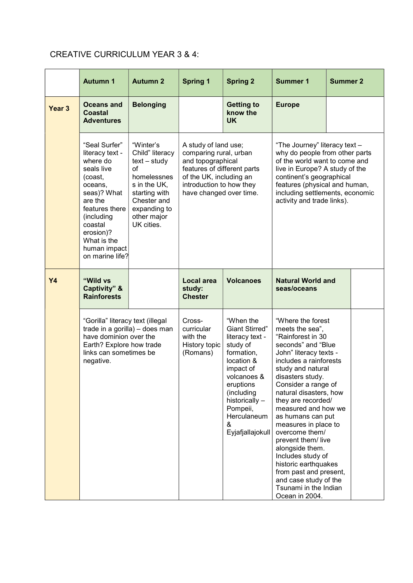# CREATIVE CURRICULUM YEAR 3 & 4:

|                   | <b>Autumn 1</b>                                                                                                                                                                                                      | <b>Autumn 2</b>                                                                                                                                                  | <b>Spring 1</b>                                                                                                                                                                                                                                                                                                                                                                                                                                          | <b>Spring 2</b>                            | <b>Summer 1</b>                                                                                                                                                                                                                                                                                                                                                                                                                                                                                                               | <b>Summer 2</b> |  |
|-------------------|----------------------------------------------------------------------------------------------------------------------------------------------------------------------------------------------------------------------|------------------------------------------------------------------------------------------------------------------------------------------------------------------|----------------------------------------------------------------------------------------------------------------------------------------------------------------------------------------------------------------------------------------------------------------------------------------------------------------------------------------------------------------------------------------------------------------------------------------------------------|--------------------------------------------|-------------------------------------------------------------------------------------------------------------------------------------------------------------------------------------------------------------------------------------------------------------------------------------------------------------------------------------------------------------------------------------------------------------------------------------------------------------------------------------------------------------------------------|-----------------|--|
| Year <sub>3</sub> | Oceans and<br>Coastal<br><b>Adventures</b>                                                                                                                                                                           | <b>Belonging</b>                                                                                                                                                 |                                                                                                                                                                                                                                                                                                                                                                                                                                                          | <b>Getting to</b><br>know the<br><b>UK</b> | <b>Europe</b>                                                                                                                                                                                                                                                                                                                                                                                                                                                                                                                 |                 |  |
|                   | "Seal Surfer"<br>literacy text -<br>where do<br>seals live<br>(coast,<br>oceans,<br>seas)? What<br>are the<br>features there<br>(including<br>coastal<br>erosion)?<br>What is the<br>human impact<br>on marine life? | "Winter's<br>Child" literacy<br>$text - study$<br>of<br>homelessnes<br>s in the UK,<br>starting with<br>Chester and<br>expanding to<br>other major<br>UK cities. | A study of land use;<br>"The Journey" literacy text -<br>comparing rural, urban<br>why do people from other parts<br>and topographical<br>of the world want to come and<br>features of different parts<br>live in Europe? A study of the<br>of the UK, including an<br>continent's geographical<br>introduction to how they<br>features (physical and human,<br>including settlements, economic<br>have changed over time.<br>activity and trade links). |                                            |                                                                                                                                                                                                                                                                                                                                                                                                                                                                                                                               |                 |  |
| <b>Y4</b>         | "Wild vs<br>Captivity" &<br><b>Rainforests</b>                                                                                                                                                                       |                                                                                                                                                                  | Local area<br>study:<br><b>Chester</b>                                                                                                                                                                                                                                                                                                                                                                                                                   | <b>Volcanoes</b>                           | <b>Natural World and</b><br>seas/oceans                                                                                                                                                                                                                                                                                                                                                                                                                                                                                       |                 |  |
|                   | "Gorilla" literacy text (illegal<br>trade in a gorilla) - does man<br>have dominion over the<br>Earth? Explore how trade<br>links can sometimes be<br>negative.                                                      |                                                                                                                                                                  | "When the<br>Cross-<br><b>Giant Stirred"</b><br>curricular<br>with the<br>literacy text -<br>History topic<br>study of<br>formation,<br>(Romans)<br>location &<br>impact of<br>volcanoes &<br>eruptions<br>(including<br>historically -<br>Pompeii,<br>Herculaneum<br>&<br>Eyjafjallajokull                                                                                                                                                              |                                            | "Where the forest<br>meets the sea",<br>"Rainforest in 30<br>seconds" and "Blue<br>John" literacy texts -<br>includes a rainforests<br>study and natural<br>disasters study.<br>Consider a range of<br>natural disasters, how<br>they are recorded/<br>measured and how we<br>as humans can put<br>measures in place to<br>overcome them/<br>prevent them/ live<br>alongside them.<br>Includes study of<br>historic earthquakes<br>from past and present,<br>and case study of the<br>Tsunami in the Indian<br>Ocean in 2004. |                 |  |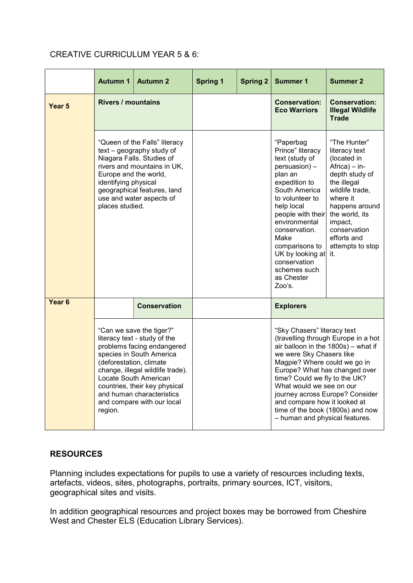### CREATIVE CURRICULUM YEAR 5 & 6:

|                   | <b>Autumn 1</b>                                                                                                                                                                                                                                                                                                   | <b>Autumn 2</b>                                                                                                                                                                   | <b>Spring 1</b> | <b>Spring 2</b> | <b>Summer 1</b>                                                                                                                                                                                                                                                                                                                                                                                              | <b>Summer 2</b>                                                                                                                                                                                                                              |
|-------------------|-------------------------------------------------------------------------------------------------------------------------------------------------------------------------------------------------------------------------------------------------------------------------------------------------------------------|-----------------------------------------------------------------------------------------------------------------------------------------------------------------------------------|-----------------|-----------------|--------------------------------------------------------------------------------------------------------------------------------------------------------------------------------------------------------------------------------------------------------------------------------------------------------------------------------------------------------------------------------------------------------------|----------------------------------------------------------------------------------------------------------------------------------------------------------------------------------------------------------------------------------------------|
| Year <sub>5</sub> | <b>Rivers / mountains</b>                                                                                                                                                                                                                                                                                         |                                                                                                                                                                                   |                 |                 | <b>Conservation:</b><br><b>Eco Warriors</b>                                                                                                                                                                                                                                                                                                                                                                  | <b>Conservation:</b><br><b>Illegal Wildlife</b><br><b>Trade</b>                                                                                                                                                                              |
|                   | Europe and the world,<br>identifying physical<br>places studied.                                                                                                                                                                                                                                                  | "Queen of the Falls" literacy<br>text - geography study of<br>Niagara Falls. Studies of<br>rivers and mountains in UK,<br>geographical features, land<br>use and water aspects of |                 |                 | "Paperbag<br>Prince" literacy<br>text (study of<br>persuasion) -<br>plan an<br>expedition to<br>South America<br>to volunteer to<br>help local<br>people with their<br>environmental<br>conservation.<br>Make<br>comparisons to<br>UK by looking at<br>conservation<br>schemes such<br>as Chester<br>Zoo's.                                                                                                  | "The Hunter"<br>literacy text<br>(located in<br>$A$ frica $) - in-$<br>depth study of<br>the illegal<br>wildlife trade,<br>where it<br>happens around<br>the world, its<br>impact,<br>conservation<br>efforts and<br>attempts to stop<br>it. |
| Year <sub>6</sub> |                                                                                                                                                                                                                                                                                                                   | <b>Conservation</b>                                                                                                                                                               |                 |                 | <b>Explorers</b>                                                                                                                                                                                                                                                                                                                                                                                             |                                                                                                                                                                                                                                              |
|                   | "Can we save the tiger?"<br>literacy text - study of the<br>problems facing endangered<br>species in South America<br>(deforestation, climate<br>change, illegal wildlife trade).<br>Locate South American<br>countries, their key physical<br>and human characteristics<br>and compare with our local<br>region. |                                                                                                                                                                                   |                 |                 | "Sky Chasers" literacy text<br>(travelling through Europe in a hot<br>air balloon in the 1800s) - what if<br>we were Sky Chasers like<br>Magpie? Where could we go in<br>Europe? What has changed over<br>time? Could we fly to the UK?<br>What would we see on our<br>journey across Europe? Consider<br>and compare how it looked at<br>time of the book (1800s) and now<br>- human and physical features. |                                                                                                                                                                                                                                              |

# **RESOURCES**

Planning includes expectations for pupils to use a variety of resources including texts, artefacts, videos, sites, photographs, portraits, primary sources, ICT, visitors, geographical sites and visits.

In addition geographical resources and project boxes may be borrowed from Cheshire West and Chester ELS (Education Library Services).